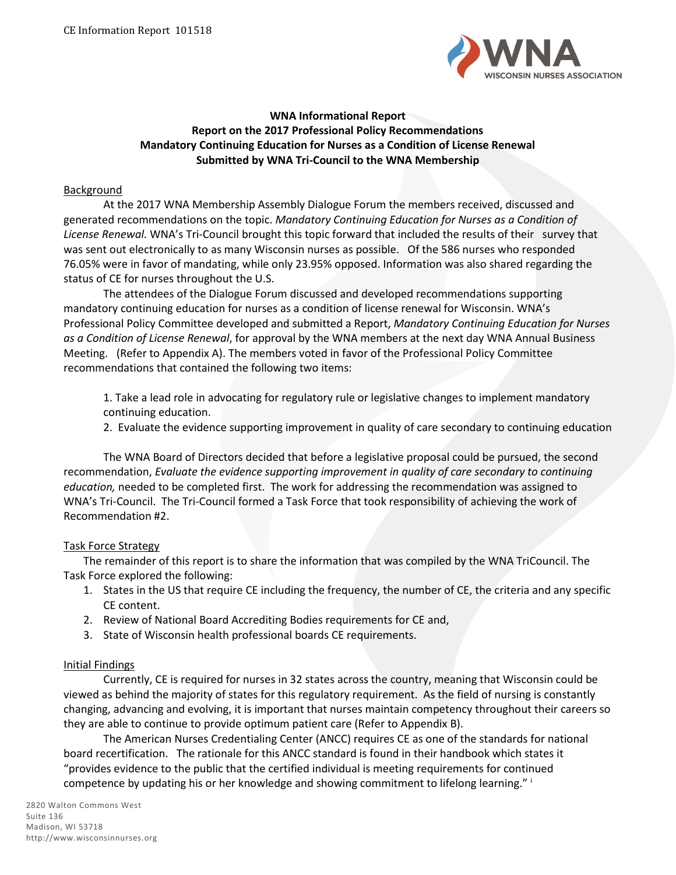

### **WNA Informational Report Report on the 2017 Professional Policy Recommendations Mandatory Continuing Education for Nurses as a Condition of License Renewal Submitted by WNA Tri-Council to the WNA Membership**

#### **Background**

At the 2017 WNA Membership Assembly Dialogue Forum the members received, discussed and generated recommendations on the topic. *Mandatory Continuing Education for Nurses as a Condition of License Renewal.* WNA's Tri-Council brought this topic forward that included the results of their survey that was sent out electronically to as many Wisconsin nurses as possible. Of the 586 nurses who responded 76.05% were in favor of mandating, while only 23.95% opposed. Information was also shared regarding the status of CE for nurses throughout the U.S.

The attendees of the Dialogue Forum discussed and developed recommendations supporting mandatory continuing education for nurses as a condition of license renewal for Wisconsin. WNA's Professional Policy Committee developed and submitted a Report, *Mandatory Continuing Education for Nurses as a Condition of License Renewal*, for approval by the WNA members at the next day WNA Annual Business Meeting. (Refer to Appendix A). The members voted in favor of the Professional Policy Committee recommendations that contained the following two items:

1. Take a lead role in advocating for regulatory rule or legislative changes to implement mandatory continuing education.

2. Evaluate the evidence supporting improvement in quality of care secondary to continuing education

The WNA Board of Directors decided that before a legislative proposal could be pursued, the second recommendation, *Evaluate the evidence supporting improvement in quality of care secondary to continuing education,* needed to be completed first. The work for addressing the recommendation was assigned to WNA's Tri-Council. The Tri-Council formed a Task Force that took responsibility of achieving the work of Recommendation #2.

#### Task Force Strategy

The remainder of this report is to share the information that was compiled by the WNA TriCouncil. The Task Force explored the following:

- 1. States in the US that require CE including the frequency, the number of CE, the criteria and any specific CE content.
- 2. Review of National Board Accrediting Bodies requirements for CE and,
- 3. State of Wisconsin health professional boards CE requirements.

#### Initial Findings

Currently, CE is required for nurses in 32 states across the country, meaning that Wisconsin could be viewed as behind the majority of states for this regulatory requirement. As the field of nursing is constantly changing, advancing and evolving, it is important that nurses maintain competency throughout their careers so they are able to continue to provide optimum patient care (Refer to Appendix B).

The American Nurses Credentialing Center (ANCC) requires CE as one of the standards for national board recertification. The rationale for this ANCC standard is found in their handbook which states it "provides evidence to the public that the certified individual is meeting requirements for continued competence by updating his or her knowledge and showing commitment to lifelong learning." i

2820 Walton Commons West Suite 136 Madison, WI 53718 http://www.wisconsinnurses.org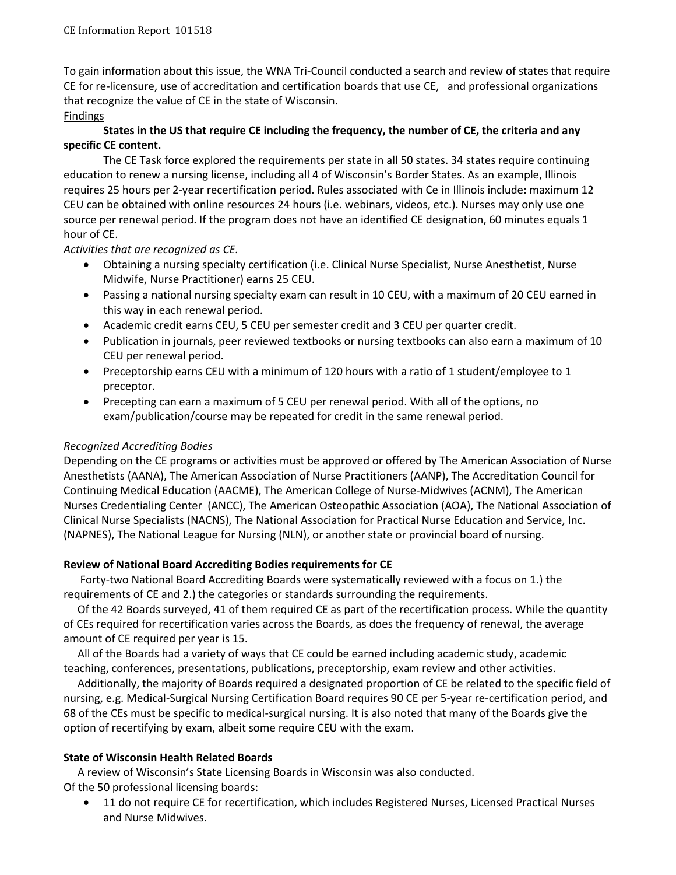To gain information about this issue, the WNA Tri-Council conducted a search and review of states that require CE for re-licensure, use of accreditation and certification boards that use CE, and professional organizations that recognize the value of CE in the state of Wisconsin.

## Findings

## **States in the US that require CE including the frequency, the number of CE, the criteria and any specific CE content.**

The CE Task force explored the requirements per state in all 50 states. 34 states require continuing education to renew a nursing license, including all 4 of Wisconsin's Border States. As an example, Illinois requires 25 hours per 2-year recertification period. Rules associated with Ce in Illinois include: maximum 12 CEU can be obtained with online resources 24 hours (i.e. webinars, videos, etc.). Nurses may only use one source per renewal period. If the program does not have an identified CE designation, 60 minutes equals 1 hour of CE.

## *Activities that are recognized as CE.*

- Obtaining a nursing specialty certification (i.e. Clinical Nurse Specialist, Nurse Anesthetist, Nurse Midwife, Nurse Practitioner) earns 25 CEU.
- Passing a national nursing specialty exam can result in 10 CEU, with a maximum of 20 CEU earned in this way in each renewal period.
- Academic credit earns CEU, 5 CEU per semester credit and 3 CEU per quarter credit.
- Publication in journals, peer reviewed textbooks or nursing textbooks can also earn a maximum of 10 CEU per renewal period.
- Preceptorship earns CEU with a minimum of 120 hours with a ratio of 1 student/employee to 1 preceptor.
- Precepting can earn a maximum of 5 CEU per renewal period. With all of the options, no exam/publication/course may be repeated for credit in the same renewal period.

# *Recognized Accrediting Bodies*

Depending on the CE programs or activities must be approved or offered by The American Association of Nurse Anesthetists (AANA), The American Association of Nurse Practitioners (AANP), The Accreditation Council for Continuing Medical Education (AACME), The American College of Nurse-Midwives (ACNM), The American Nurses Credentialing Center (ANCC), The American Osteopathic Association (AOA), The National Association of Clinical Nurse Specialists (NACNS), The National Association for Practical Nurse Education and Service, Inc. (NAPNES), The National League for Nursing (NLN), or another state or provincial board of nursing.

## **Review of National Board Accrediting Bodies requirements for CE**

 Forty-two National Board Accrediting Boards were systematically reviewed with a focus on 1.) the requirements of CE and 2.) the categories or standards surrounding the requirements.

 Of the 42 Boards surveyed, 41 of them required CE as part of the recertification process. While the quantity of CEs required for recertification varies across the Boards, as does the frequency of renewal, the average amount of CE required per year is 15.

 All of the Boards had a variety of ways that CE could be earned including academic study, academic teaching, conferences, presentations, publications, preceptorship, exam review and other activities.

 Additionally, the majority of Boards required a designated proportion of CE be related to the specific field of nursing, e.g. Medical-Surgical Nursing Certification Board requires 90 CE per 5-year re-certification period, and 68 of the CEs must be specific to medical-surgical nursing. It is also noted that many of the Boards give the option of recertifying by exam, albeit some require CEU with the exam.

# **State of Wisconsin Health Related Boards**

 A review of Wisconsin's State Licensing Boards in Wisconsin was also conducted. Of the 50 professional licensing boards:

• 11 do not require CE for recertification, which includes Registered Nurses, Licensed Practical Nurses and Nurse Midwives.